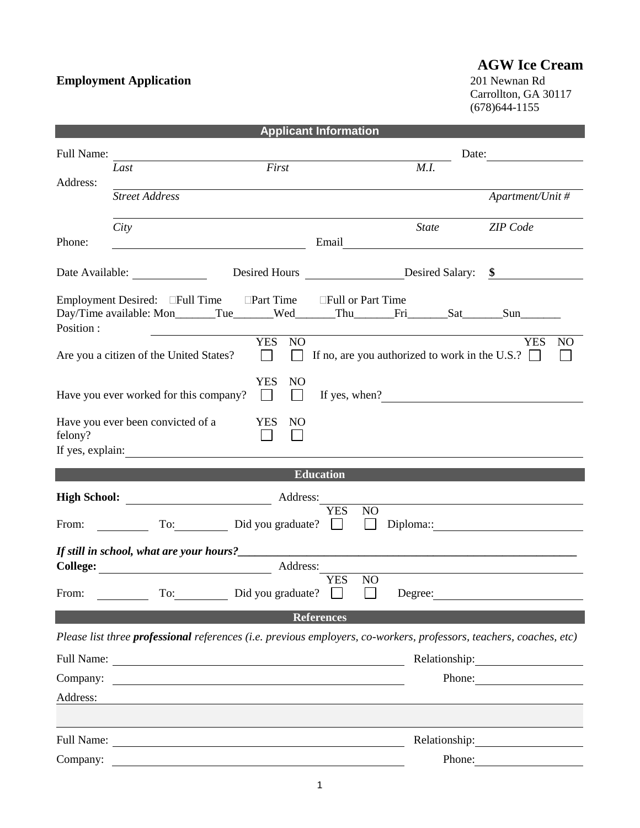## **Employment Application**

## **AGW Ice Cream**<br>201 Newnan Rd

Carrollton, GA 30117 (678)644-1155

| <b>Applicant Information</b> |                                         |                                                                                                                      |                                                                                                                            |                              |  |  |  |  |  |
|------------------------------|-----------------------------------------|----------------------------------------------------------------------------------------------------------------------|----------------------------------------------------------------------------------------------------------------------------|------------------------------|--|--|--|--|--|
| Full Name:                   |                                         |                                                                                                                      |                                                                                                                            | Date:                        |  |  |  |  |  |
|                              | Last                                    | First                                                                                                                | $\overline{M}$ .I.                                                                                                         |                              |  |  |  |  |  |
| Address:                     | <b>Street Address</b>                   |                                                                                                                      |                                                                                                                            | Apartment/Unit #             |  |  |  |  |  |
|                              | City                                    |                                                                                                                      | <b>State</b>                                                                                                               | <b>ZIP</b> Code              |  |  |  |  |  |
| Phone:                       |                                         |                                                                                                                      |                                                                                                                            |                              |  |  |  |  |  |
|                              | Date Available:                         |                                                                                                                      | Desired Hours Desired Salary: \$                                                                                           |                              |  |  |  |  |  |
| Position:                    |                                         | Employment Desired: Full Time Part Time Full or Part Time                                                            | Day/Time available: Mon______Tue_____Wed_____Thu_____Fri_____Sat_____Sun_______                                            |                              |  |  |  |  |  |
|                              | Are you a citizen of the United States? | YES NO<br>$\perp$                                                                                                    | If no, are you authorized to work in the U.S.? $\Box$                                                                      | <b>YES</b><br>N <sub>O</sub> |  |  |  |  |  |
|                              | Have you ever worked for this company?  | <b>YES</b><br>N <sub>O</sub><br>$\Box$<br>$\mathbf{1}$                                                               | If yes, when?                                                                                                              |                              |  |  |  |  |  |
| felony?                      | Have you ever been convicted of a       | <b>YES</b><br>NO<br>$\mathbf{1}$<br>If yes, explain:                                                                 |                                                                                                                            |                              |  |  |  |  |  |
|                              | <b>Education</b>                        |                                                                                                                      |                                                                                                                            |                              |  |  |  |  |  |
| Address:                     |                                         |                                                                                                                      |                                                                                                                            |                              |  |  |  |  |  |
| From:                        |                                         | To: Did you graduate?                                                                                                | <b>YES</b><br>NO<br>$\mathbb{Z}$<br>$\perp$                                                                                |                              |  |  |  |  |  |
|                              |                                         |                                                                                                                      |                                                                                                                            |                              |  |  |  |  |  |
|                              |                                         | Address:                                                                                                             |                                                                                                                            |                              |  |  |  |  |  |
| From:                        |                                         | To: Did vou graduate?                                                                                                | <b>YES</b><br>N <sub>O</sub><br>$\blacksquare$<br>Degree:                                                                  |                              |  |  |  |  |  |
|                              |                                         | <b>References</b>                                                                                                    |                                                                                                                            |                              |  |  |  |  |  |
|                              |                                         |                                                                                                                      | Please list three <b>professional</b> references (i.e. previous employers, co-workers, professors, teachers, coaches, etc) |                              |  |  |  |  |  |
| Full Name:                   |                                         | <u> 1989 - Johann Stoff, deutscher Stoff, der Stoff, der Stoff, der Stoff, der Stoff, der Stoff, der Stoff, der </u> | Relationship:                                                                                                              |                              |  |  |  |  |  |
| Company:                     |                                         |                                                                                                                      | Phone:                                                                                                                     |                              |  |  |  |  |  |
| Address:                     |                                         |                                                                                                                      |                                                                                                                            |                              |  |  |  |  |  |
|                              |                                         |                                                                                                                      |                                                                                                                            |                              |  |  |  |  |  |
| Full Name:                   |                                         |                                                                                                                      | Relationship:                                                                                                              |                              |  |  |  |  |  |
| Company:                     |                                         |                                                                                                                      | Phone:                                                                                                                     |                              |  |  |  |  |  |